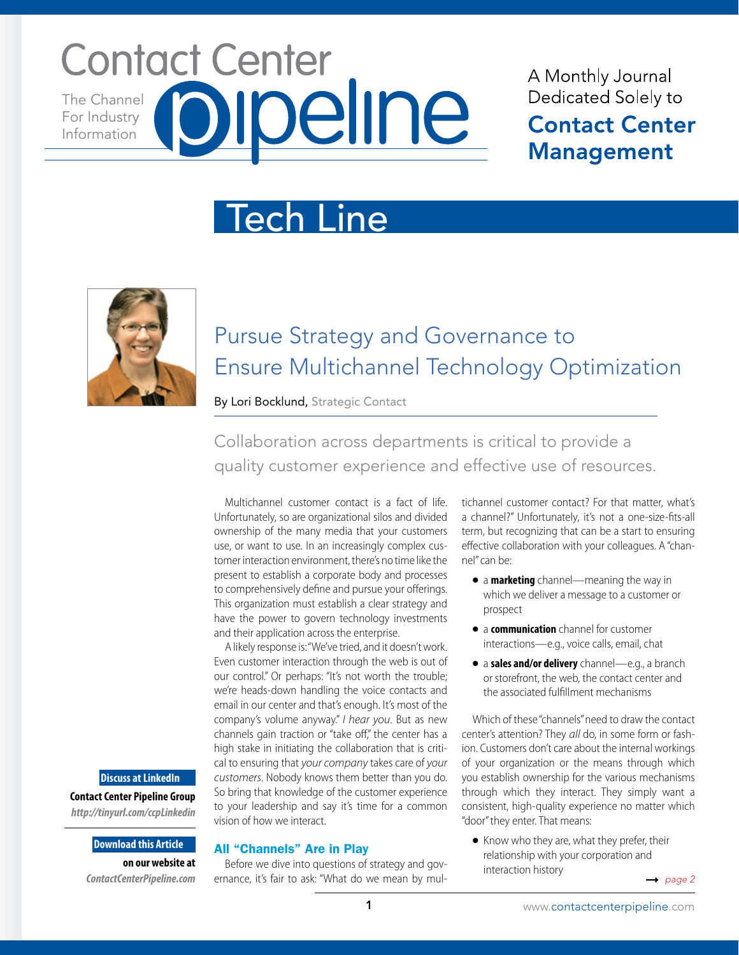# **Contact Center** The Channel For Industry Information

## A Monthly Journal Dedicated Solely to **Contact Center Management**

# Tech Line



# Pursue Strategy and Governance to Ensure Multichannel Technology Optimization

By Lori Bocklund, Strategic Contact

Collaboration across departments is critical to provide a quality customer experience and effective use of resources.

Multichannel customer contact is a fact of life. Unfortunately, so are organizational silos and divided ownership of the many media that your customers use, or want to use. In an increasingly complex customer interaction environment, there's no time like the present to establish a corporate body and processes to comprehensively define and pursue your offerings. This organization must establish a clear strategy and have the power to govern technology investments and their application across the enterprise.

A likely response is: "We've tried, and it doesn't work. Even customer interaction through the web is out of our control." Or perhaps: "It's not worth the trouble; we're heads-down handling the voice contacts and email in our center and that's enough. It's most of the company's volume anyway." *I hear you*. But as new channels gain traction or "take off," the center has a high stake in initiating the collaboration that is critical to ensuring that *your company* takes care of *your customers*. Nobody knows them better than you do. So bring that knowledge of the customer experience to your leadership and say it's time for a common vision of how we interact.

#### All "Channels" Are in Play

Before we dive into questions of strategy and governance, it's fair to ask: "What do we mean by mul-

tichannel customer contact? For that matter, what's a channel?" Unfortunately, it's not a one-size-fits-all term, but recognizing that can be a start to ensuring effective collaboration with your colleagues. A "channel" can be:

- a **marketing** channel—meaning the way in which we deliver a message to a customer or prospect
- a **communication** channel for customer interactions—e.g., voice calls, email, chat
- a **sales and/or delivery** channel—e.g., a branch or storefront, the web, the contact center and the associated fulfillment mechanisms

Which of these "channels" need to draw the contact center's attention? They *all* do, in some form or fashion. Customers don't care about the internal workings of your organization or the means through which you establish ownership for the various mechanisms through which they interact. They simply want a consistent, high-quality experience no matter which "door" they enter. That means:

● Know who they are, what they prefer, their relationship with your corporation and interaction history

 $\rightarrow$  page 2

#### **Discuss at LinkedIn**

**Contact Center Pipeline Group**  *http://tinyurl.com/ccpLinkedin*

#### **Download this Article**

**on our website at**  *ContactCenterPipeline.com*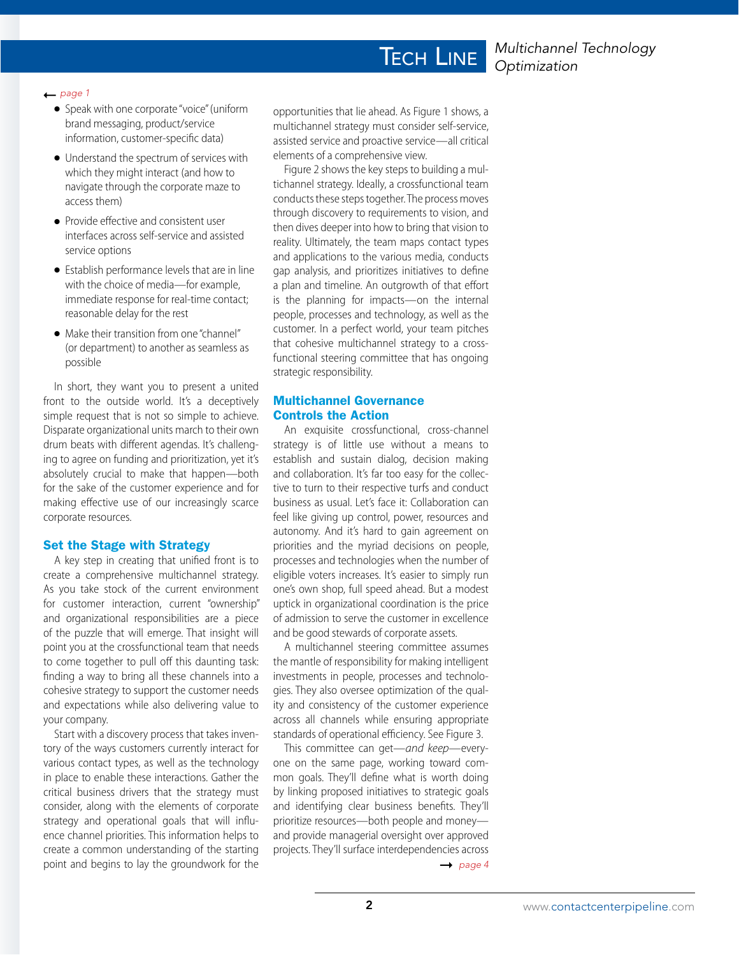#### ← page 1

- Speak with one corporate "voice" (uniform brand messaging, product/service information, customer-specific data)
- Understand the spectrum of services with which they might interact (and how to navigate through the corporate maze to access them)
- Provide effective and consistent user interfaces across self-service and assisted service options
- Establish performance levels that are in line with the choice of media—for example, immediate response for real-time contact; reasonable delay for the rest
- Make their transition from one "channel" (or department) to another as seamless as possible

In short, they want you to present a united front to the outside world. It's a deceptively simple request that is not so simple to achieve. Disparate organizational units march to their own drum beats with different agendas. It's challenging to agree on funding and prioritization, yet it's absolutely crucial to make that happen—both for the sake of the customer experience and for making effective use of our increasingly scarce corporate resources.

#### Set the Stage with Strategy

A key step in creating that unified front is to create a comprehensive multichannel strategy. As you take stock of the current environment for customer interaction, current "ownership" and organizational responsibilities are a piece of the puzzle that will emerge. That insight will point you at the crossfunctional team that needs to come together to pull off this daunting task: finding a way to bring all these channels into a cohesive strategy to support the customer needs and expectations while also delivering value to your company.

Start with a discovery process that takes inventory of the ways customers currently interact for various contact types, as well as the technology in place to enable these interactions. Gather the critical business drivers that the strategy must consider, along with the elements of corporate strategy and operational goals that will influence channel priorities. This information helps to create a common understanding of the starting point and begins to lay the groundwork for the

opportunities that lie ahead. As Figure 1 shows, a multichannel strategy must consider self-service, assisted service and proactive service—all critical elements of a comprehensive view.

**TECH LINE** 

Figure 2 shows the key steps to building a multichannel strategy. Ideally, a crossfunctional team conducts these steps together. The process moves through discovery to requirements to vision, and then dives deeper into how to bring that vision to reality. Ultimately, the team maps contact types and applications to the various media, conducts gap analysis, and prioritizes initiatives to define a plan and timeline. An outgrowth of that effort is the planning for impacts—on the internal people, processes and technology, as well as the customer. In a perfect world, your team pitches that cohesive multichannel strategy to a crossfunctional steering committee that has ongoing strategic responsibility.

#### Multichannel Governance Controls the Action

An exquisite crossfunctional, cross-channel strategy is of little use without a means to establish and sustain dialog, decision making and collaboration. It's far too easy for the collective to turn to their respective turfs and conduct business as usual. Let's face it: Collaboration can feel like giving up control, power, resources and autonomy. And it's hard to gain agreement on priorities and the myriad decisions on people, processes and technologies when the number of eligible voters increases. It's easier to simply run one's own shop, full speed ahead. But a modest uptick in organizational coordination is the price of admission to serve the customer in excellence and be good stewards of corporate assets.

A multichannel steering committee assumes the mantle of responsibility for making intelligent investments in people, processes and technologies. They also oversee optimization of the quality and consistency of the customer experience across all channels while ensuring appropriate standards of operational efficiency. See Figure 3.

This committee can get—*and keep*—everyone on the same page, working toward common goals. They'll define what is worth doing by linking proposed initiatives to strategic goals and identifying clear business benefits. They'll prioritize resources—both people and money and provide managerial oversight over approved projects. They'll surface interdependencies across

 $\rightarrow$  page 4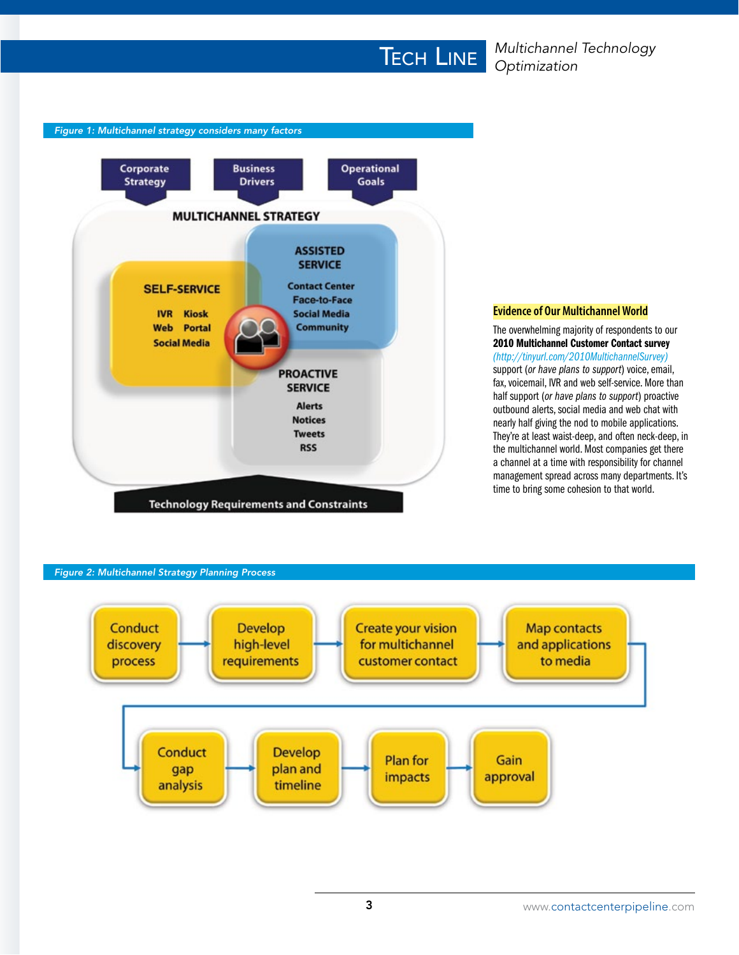

#### **Evidence of Our Multichannel World**

The overwhelming majority of respondents to our 2010 Multichannel Customer Contact survey *(http://tinyurl.com/2010MultichannelSurvey)* support (*or have plans to support*) voice, email, fax, voicemail, IVR and web self-service. More than half support (*or have plans to support*) proactive outbound alerts, social media and web chat with nearly half giving the nod to mobile applications. They're at least waist-deep, and often neck-deep, in the multichannel world. Most companies get there a channel at a time with responsibility for channel management spread across many departments. It's time to bring some cohesion to that world.

#### *Figure 2: Multichannel Strategy Planning Process*

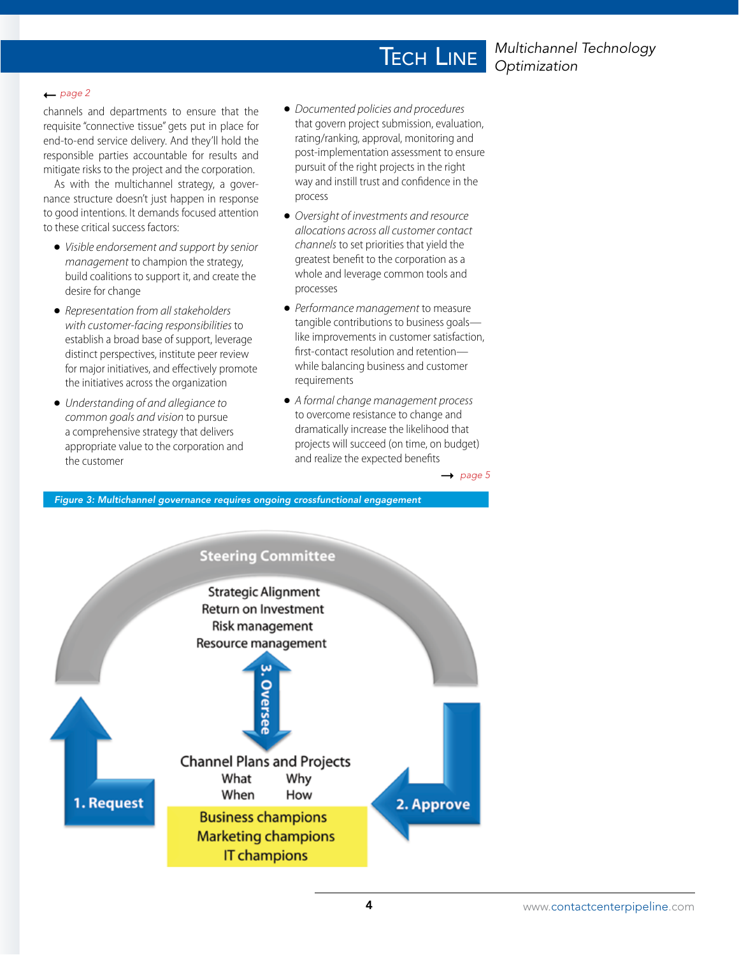### *Multichannel Technology Optimization*

#### $\rightharpoonup$  *page 2*

channels and departments to ensure that the requisite "connective tissue" gets put in place for end-to-end service delivery. And they'll hold the responsible parties accountable for results and mitigate risks to the project and the corporation.

As with the multichannel strategy, a governance structure doesn't just happen in response to good intentions. It demands focused attention to these critical success factors:

- *Visible endorsement and support by senior management* to champion the strategy, build coalitions to support it, and create the desire for change
- *Representation from all stakeholders with customer-facing responsibilities* to establish a broad base of support, leverage distinct perspectives, institute peer review for major initiatives, and effectively promote the initiatives across the organization
- *Understanding of and allegiance to common goals and vision* to pursue a comprehensive strategy that delivers appropriate value to the corporation and the customer

● *Documented policies and procedures* that govern project submission, evaluation, rating/ranking, approval, monitoring and post-implementation assessment to ensure pursuit of the right projects in the right way and instill trust and confidence in the process

**TECH LINE** 

- *Oversight of investments and resource allocations across all customer contact channels* to set priorities that yield the greatest benefit to the corporation as a whole and leverage common tools and processes
- *Performance management* to measure tangible contributions to business goals like improvements in customer satisfaction, first-contact resolution and retention while balancing business and customer requirements
- *A formal change management process* to overcome resistance to change and dramatically increase the likelihood that projects will succeed (on time, on budget) and realize the expected benefits

 $\rightarrow$  page 5

*Figure 3: Multichannel governance requires ongoing crossfunctional engagement*